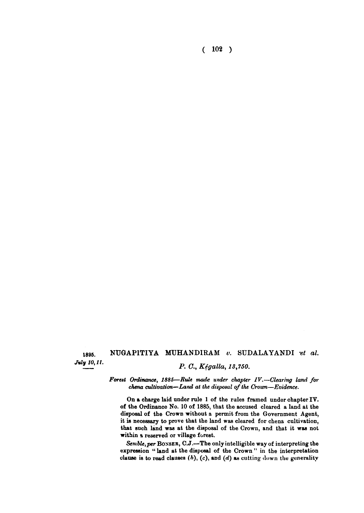**( 102 )** 

## 1895. **NUGAPITIYA MUHANDIRAM** v. SUDALAYANDI et al. *July* 10, 11. <br>*P. C., Kégalla, 13,750.*

*Forest Ordinance, 1885***—***Rule made under chapter IV.—Clearing land for chena cultivation—Land at the disposal of the Crown—Evidence.* 

On a charge laid under rule 1 of the rules framed under chapter IV. of the Ordinance No. 10 of 1885, that the accused cleared a land at the disposal of the Crown without a permit from the Government Agent, it is necessary to prove that the land was cleared for chena cultivation, that such land was at the disposal of the Crown, and that it was not within a reserved or village forest.

*Semble,per* **BONSER**, C.J.—The only intelligible way of interpreting the expression " land at the disposal of the Crown " in the interpretation clause is to read clauses *(h),* **(c),** and *(d)* as cutting down the generality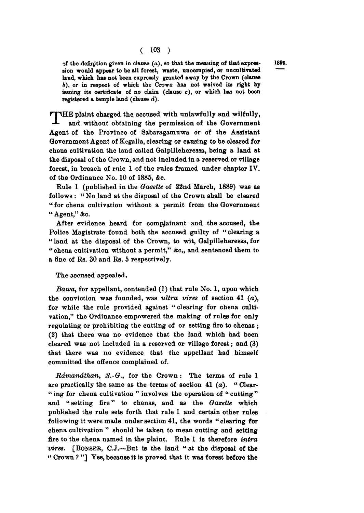**of the definition given in clause (a), so that the meaning of that expret- 1895. sion would appear to be all forest, waste, unoccupied, or uncultivated land, which has not been expressly granted away by the Crown (clause ft), or in respect of which the Crown has not waived its right by issuing its certificate of no claim (clause c), or which has not been registered a temple land (clause** *d).* 

THE plaint charged the accused with unlawfully and wilfully, and without obtaining the permission of the Government **and without obtaining the permission of the Government Agent of the Province of Sabaragamuwa or of the Assistant Government Agent of Kegalla, clearing or causing to be cleared for chena cultivation the land called Galpilleheressa, being a land at the disposal of the Crown, and not included in a reserved or village forest, in breach of rule 1 of the rules framed under chapter IV. of the Ordinance No. 10 of 1885, &c.** 

**Rule 1 (published in the** *Gazette* **of 22nd March, 1889) was as follows : " No land at the disposal of the Crown shall be cleared " for chena cultivation without a permit from the Government " Agent," &c.** 

**After evidence heard for complainant and the accused, the Police Magistrate found both the accused guilty of " clearing a " land at the disposal of the Crown, to wit, Galpilleheressa, for " chena cultivation without a permit," &c, and sentenced them to a fine of Rs. 30 and Rs. 5 respectively.** 

## **The accused appealed.**

*Bawa,* **for appellant, contended (1) that rule No. 1, upon which the conviction was founded, was** *ultra vires* **of section 41 (a), for while the rule provided against " clearing for chena cultivation," the Ordinance empowered the making of rules for only regulating or prohibiting the cutting of or setting fire to chenas ; (2) that there was no evidence that the land which had been cleared was not included in a reserved or village forest; and (3) that there was no evidence that the appellant had himself committed the offence complained of.** 

*Rdmandthan, S.-G.,* **for the Crown : The terms of rule 1 are practically the same as the terms of section 41 (o). " Clear- " ing for chena cultivation " involves the operation of " cutting " and " setting fire" to chenas, and as the** *Gazette* **which published the rule sets forth that rule 1 and certain other rules following it were made under section 41, the words " clearing for chena cultivation " should be taken to mean cutting and setting fire to the chena named in the plaint. Rule 1 is therefore** *intra vires.* **[BONSER , C.J.—But is the land " at the disposal of the «• Crown ? "] Yes, because it is proved that it was forest before the**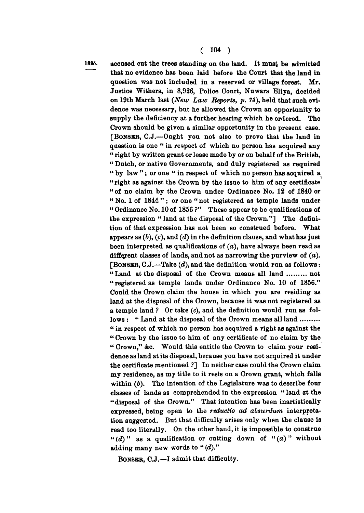**189S. accused cut the trees standing on the land. It most be admitted that no evidence has been laid before the Court that the land in question was not included in a reserved or village forest. Mr. Justice Withers, in 8,926, Police Court, Nuwara Eliya, decided on 19th March last** *(New Law Reports, p. 73),* **held that such evidence was necessary, but he allowed the Crown an opportunity to supply the deficiency at a further hearing which he ordered. The Crown should be given a similar opportunity in the present case. [BONSER , C.J.—Ought you not also to prove that the land in question is one " in respect of which no person has acquired any " right by written grant or lease made by or on behalf of the British, " Dutch, or native Governments, and duly registered as required " by law " ; or one " in respect of which no person has acquired a "right as against the Crown by the issue to him of any certificate " of no claim by the Crown under Ordinance No. 12 of 1840 or " No. 1 of 1841" ; or one " not registered as temple lands under " Ordinance No. 10 of 1856 ?" These appear to be qualifications of the expression " land at the disposal of the Crown."] The definition of that expression has not been so construed before. What appears as** *(b), (c),* **and** *(d)* **in the definition clause, and what has just been interpreted as qualifications of** *(a),* **have always been read as different classes of lands, and not as narrowing the purview of** *(a).*  **[BONSER , C.J.—Take** *(d),* **and the definition would run as follows:**  "Land at the disposal of the Crown means all land ........ not **" registered as temple lands under Ordinance No. 10 of 1856." Could the Crown claim the house in which you are residing as land at the disposal of the Crown, because it was not registered as a temple land ? Or take** *(c),* **and the definition would run as follows : " Land at the disposal of the Crown means all land " in respect of which no person has acquired a right as against the " Crown by the issue to him of any certificate of no claim by the " Crown," &c. Would this entitle the Crown to claim your residence as land at its disposal, because you have not acquired it under the certificate mentioned ?] In neither case could the Crown claim my residence, as my title to it rests on a Crown grant, which falls within** *(b).* **The intention of the Legislature was to describe four classes of lands as comprehended in the expression " land at the " disposal of the Crown." That intention has been inartistically expressed, being open to the** *reductio ad absurdum* **interpretation suggested. But that difficulty arises only when the clause is read too literally. On the other hand, it is impossible to construe**  " (d) " as a qualification or cutting down of " $(a)$ " without **adding many new words to "** *(d)."* 

**BONSER , C.J,—I admit that difficulty.**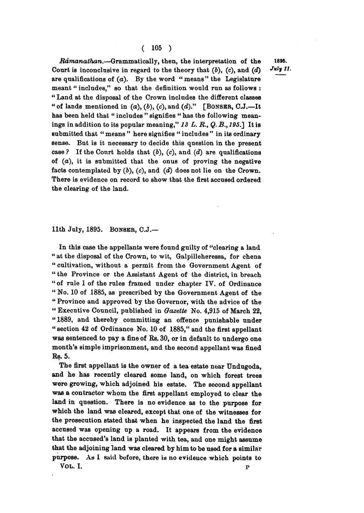*Rdmanathan.***—Grammatically, then, the interpretation of the 1896. Court is inconclusive in regard to the theory that (b), (c), and (d) are qualifications of (a). By the word "means" the Legislature meant " includes," so that the definition would run as follows : " Land at the disposal of the Crown includes the different classes " of lands mentioned in (a), (6), (c), and** *(d)."* **[BONSER, C.J.—It has been held that " includes " signifies " has the following meanings in addition to its popular meaning,"** *13 L. R., Q. B., 195J]* **It is submitted that " means " here signifies " includes " in its ordinary sense. But is it necessary to decide this question in the present case ? If the Court holds that (6), (c), and** *(d)* **are qualifications of** *(a),* **it is submitted that the onus of proving the negative facts contemplated by (6), (c), and (d) does not lie on the Crown. There is evidence on record to show that the first accused ordered the clearing of the land.** 

**11th July, 1895. BONSKR , C.J.—** 

**In this case the appellants were found guilty of "clearing a land " at the disposal of the Crown, to wit, Galpilleheressa, for chena " cultivation, without a permit from the Government Agent of " the Province or the Assistant Agent of the district, in breach " of rule 1 of the rules framed under chapter IV. of Ordinance " No. 10 of 1885, as prescribed by the Government Agent of the " Province and approved by the Governor, with the advice of the " Executive Council, published in** *Gazette* **No. 4,915 of March 22, "1889, and thereby committing an offence punishable under " section 42 of Ordinance No. 10 of 1885," and the first appellant was sentenced to pay a fine of Rs. 30, or in default to undergo one month's simple imprisonment, and the second appellant was fined Rs. 5.** 

**The first appellant is the owner of a tea estate near Undugoda, and he has recently cleared some land, on which forest trees were growing, which adjoined his estate. The second appellant was a contractor whom the first appellant employed to clear the land in question. There is no evidence as to the purpose for which the land was cleared, except that one of the witnesses for the prosecution stated that when he inspected the land the first accused was opening up a road. It appears from the evidence that the accused's land is planted with tea, and one might assume that the adjoining land was cleared by him to be used for a similar purpose. As 1 said before, there is no evidence which points to** 

**VOL . I.** p

*l i -*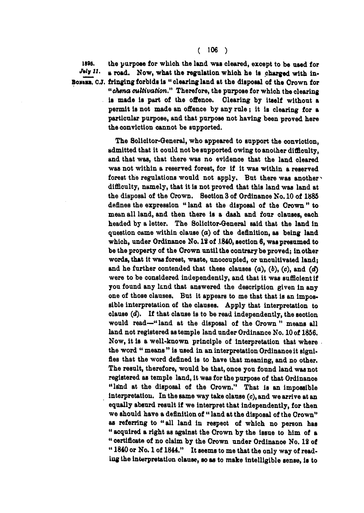1895. the purpose for which the land was cleared, except to be used for **July 11. a** road. Now, what the regulation which he is charged with in-*My ll.* **» road. Now, what the regulation whloh he It charged with in-**Boxens, C.J. fringing forbids is " clearing land at the disposal of the Orown for *"chena cultivation"* **Therefore, the purpose for which the clearing Is made is part of the offence. Clearing by itself without a permit is not made an offence by any rule; it is clearing for a particular purpose, and that purpose not having been proved here the oonvlction oannot be supported.** 

> **The Solicitor-General, who appeared to support the oonviotion, admitted that it oould not be supported owing to another difficulty, and that was, that there was no evidence that the land oleared was not within a reserved forest, for if it was within a reserved forest the regulations would not apply. But there was another ^ difficulty, namely, that it is not proved that this land was land at the disposal of the Orown. Section 3 of Ordinanoe No. 10 of 1885 defines the expression " land at the disposal of the Orown " to mean all land, and then there Is a dash and four clauses, eaoh headed by a letter. The Solicitor-General said that the land in question came within clause (a) of the definition, as being land which, under Ordinanoe No. 18 of 1840, section 6, was presumed to be the property of the Orown until the contrary be proved; in other words, that it was forest, waste, unocoupied, or uncultivated land; and he further contended that these clauses (a), (6), (c), and** *(d)*  **were to be considered independently, and that it was sufficient if you found any land that answered the description given in any one of those clauses. But it appears to me that that is an impossible interpretation of the clauses. Apply that interpretation to clause** *(d).* **If that clause is to be read independently, the seotion would read—" land at the disposal of the Orown " means all land not registered as temple land under Ordinance No. 10 of 1856. Now, it is a well-known principle of interpretation that where the word " means " is used in an interpretation Ordinanoe it signifies that the word defined is to have that meaning, and no other. The result, therefore, would be that, onoe you found land was not registered aB temple land, it was for the purpose of that Ordinanoe**  "land at the disposal of the Crown." That is an impossible **interpretation. In the same way take olause (c), and we arrive at an equally absurd result if we interpret that independently, for then we should have a definition of " land at the disposal of the Orown" aB referring to "all land in respeot of which no person has " acquired a right as against the Orown by the issue to him of a " certificate of no claim by the Orown under Ordinance No. 12 of " 1840 or No. 1 of 1844." It seems to me that the only way of readlug the Interpretation clause, so as to make intelligible sense, is to**